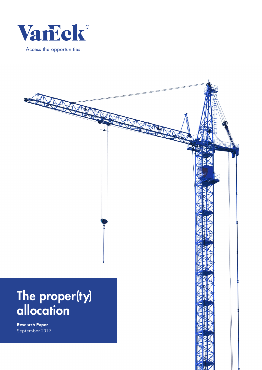

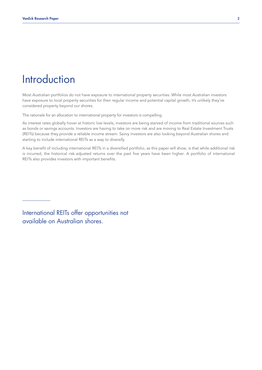## **Introduction**

Most Australian portfolios do not have exposure to international property securities. While most Australian investors have exposure to local property securities for their regular income and potential capital growth, it's unlikely they've considered property beyond our shores.

The rationale for an allocation to international property for investors is compelling.

As interest rates globally hover at historic low levels, investors are being starved of income from traditional sources such as bonds or savings accounts. Investors are having to take on more risk and are moving to Real Estate Investment Trusts (REITs) because they provide a reliable income stream. Savvy investors are also looking beyond Australian shores and starting to include international REITs as a way to diversify.

A key benefit of including international REITs in a diversified portfolio, as this paper will show, is that while additional risk is incurred, the historical risk-adjusted returns over the past five years have been higher. A portfolio of international REITs also provides investors with important benefits.

International REITs offer opportunities not available on Australian shores.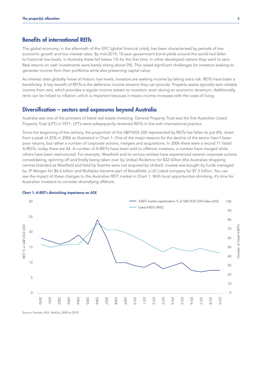## Benefits of international REITs

The global economy, in the aftermath of the GFC (global financial crisis), has been characterised by periods of low economic growth and low interest rates. By mid-2019, 10-year government bond yields around the world had fallen to historical low levels. In Australia these fell below 1% for the first time. In other developed nations they went to zero. Real returns on cash investments were barely sitting above 0%. This raised significant challenges for investors seeking to generate income from their portfolios while also preserving capital value.

As interest rates globally hover at historic low levels, investors are seeking income by taking extra risk. REITs have been a beneficiary. A key benefit of REITs is the defensive income streams they can provide. Property assets typically earn reliable income from rent, which provides a regular income stream to investors, even during an economic downturn. Additionally, rents can be linked to inflation, which is important because it means income increases with the costs of living.

### Diversification – sectors and exposures beyond Australia

Australia was one of the pioneers of listed real estate investing. General Property Trust was the first Australian Listed Property Trust (LPT) in 1971. LPT's were subsequently renamed REITs in line with international practice.

Since the beginning of the century, the proportion of the S&P/ASX 200 represented by REITs has fallen to just 8%, down from a peak of 25% in 2006 as illustrated in Chart 1. One of the major reasons for the decline of the sector hasn't been poor returns, but rather a number of corporate actions, mergers and acquisitions. In 2006 there were a record 71 listed A-REITs, today there are 44. A number of A-REITs have been sold to offshore investors, a number have merged while others have been restructured. For example, Westfield and its various entities have experienced several corporate actions consolidating, spinning off and finally being taken over by Unibail Rodamco for \$32 billion (the Australian shopping centres branded as Westfield and held by Scentre were not acquired by Unibail). Investa was bought by funds managed by JP Morgan for \$6.6 billion and Multiplex became part of Brookfield, a US Listed company for \$7.3 billion. You can see the impact of these changes to the Australian REIT market in Chart 1. With local opportunities shrinking, it's time for Australian investors to consider diversifying offshore.



#### Chart 1: A-REIT's diminishing importance on ASX

Source: Factset, ASX, VanEck, 2000 to 2019.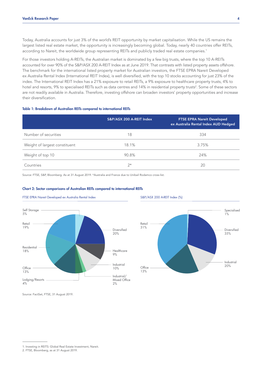Today, Australia accounts for just 3% of the world's REIT opportunity by market capitalisation. While the US remains the largest listed real estate market, the opportunity is increasingly becoming global. Today, nearly 40 countries offer REITs, according to Nareit, the worldwide group representing REITs and publicly traded real estate companies.<sup>1</sup>

For those investors holding A-REITs, the Australian market is dominated by a few big trusts, where the top 10 A-REITs accounted for over 90% of the S&P/ASX 200 A-REIT Index as at June 2019. That contrasts with listed property assets offshore. The benchmark for the international listed property market for Australian investors, the FTSE EPRA Nareit Developed ex Australia Rental Index (International REIT Index), is well diversified, with the top 10 stocks accounting for just 23% of the 70 index. The International REIT Index has a 21% exposure to retail REITs, a 9% exposure to healthcare property trusts, 4% to hotel and resorts, 9% to specialised REITs such as data centres and 14% in residential property trusts<sup>2</sup>. Some of these sectors are not readily available in Australia. Therefore, investing offshore can broaden investors' property opportunities and increase their diversification. 50 ...<br>h<br><br>Ta<br>D  $\frac{1}{2}$ 

#### Table 1: Breakdown of Australian REITs compared to international REITs

|                               | S&P/ASX 200 A-REIT Index<br><b>FTSE EPRA Nareit Developed</b><br>ex Australia Rental Index AUD Hedged |       |  |
|-------------------------------|-------------------------------------------------------------------------------------------------------|-------|--|
| Number of securities          | 18                                                                                                    | 334   |  |
| Weight of largest constituent | 18.1%                                                                                                 | 3.75% |  |
| Weight of top 10              | 90.8%                                                                                                 | 24%   |  |
| Countries                     | $2^{\star}$                                                                                           | 20    |  |

Source: FTSE, S&P, Bloomberg. As at 31 August 2019. \*Australia and France due to Unibail Rodamco cross-list.



#### Chart 2: Sector comparisons of Australian REITs compared to international REITs



Source: FactSet, FTSE, 31 August 2019.

<sup>1.</sup> Investing in REITS: Global Real Estate Investment, Nareit.

<sup>2.</sup> FTSE, Bloomberg, as at 31 August 2019.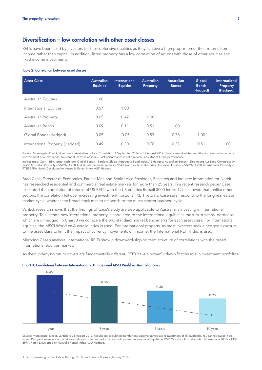## Diversification – low correlation with other asset classes

REITs have been used by investors for their defensive qualities as they achieve a high proportion of their returns from income rather than capital. In addition, listed property has a low correlation of returns with those of other equities and fixed income investments.

#### Table 2: Correlation between asset classes

| <b>Asset Class</b>              | <b>Australian</b><br><b>Equities</b> | <b>International</b><br><b>Equities</b> | <b>Australian</b><br>Property | <b>Australian</b><br><b>Bonds</b> | Global<br><b>Bonds</b><br>(Hedged) | International<br><b>Property</b><br>(Hedged) |
|---------------------------------|--------------------------------------|-----------------------------------------|-------------------------------|-----------------------------------|------------------------------------|----------------------------------------------|
| <b>Australian Equities</b>      | 1.00                                 |                                         |                               |                                   |                                    |                                              |
| International Equities          | 0.57                                 | 1.00                                    |                               |                                   |                                    |                                              |
| <b>Australian Property</b>      | 0.65                                 | 0.42                                    | 1.00                          |                                   |                                    |                                              |
| Australian Bonds                | 0.09                                 | 0.11                                    | 0.51                          | 1.00                              |                                    |                                              |
| Global Bonds (Hedged)           | 0.05                                 | $-0.05$                                 | 0.53                          | 0.78                              | 1.00                               |                                              |
| International Property (Hedged) | 0.49                                 | 0.30                                    | 0.70                          | 0.33                              | 0.51                               | 1.00                                         |

Source: Morningstar Direct, all returns in Australian dollars. Correlation: 1 September 2014 to 31 August 2019. Results are calculated monthly and assume immediate reinvestment of all dividends. You cannot invest in an index. Past performance is not a reliable indicator of future performance.

Indices used: Cash – RBA target cash rate, Global Bonds – Barclays Global Aggregate Bond Index A\$ Hedged; Australian Bonds – Bloomberg AusBond Composite 0+ years; Australian Property – S&P/ASX 200 A-REIT, International Equities – MSCI World ex Australia Index; Australian Equities – S&P/ASX 200; International Property – FTSE EPRA Nareit Developed ex Australia Rental Index AUD Hedged.

Brad Case, Director of Economics, Fannie Mae and Senior Vice President, Research and Industry Information for Nareit, has researched residential and commercial real estate markets for more than 25 years. In a recent research paper Case illustrated the correlation of returns of US REITs with the US equities Russell 3000 Index. Case showed that, unlike other sectors, the correlation fell over increasing investment horizons<sup>3</sup>. REIT returns, Case says, respond to the long real estate market cycle, whereas the broad stock market responds to the much shorter business cycle.

VanEck research shows that the findings of Case's study are also applicable to Australians investing in international property. To illustrate how international property is correlated to the international equities in most Australians' portfolios, which are unhedged, in Chart 3 we compare the two standard market benchmarks for each asset class. For international equities, the MSCI World ex Australia Index is used. For international property, as most investors seek a hedged exposure to the asset class to limit the impact of currency movements on income, the International REIT Index is used.

Mirroring Case's analysis, international REITs show a downward-sloping term structure of correlations with the broad international equities market.

As their underlying return drivers are fundamentally different, REITs have a powerful diversification role in investment portfolios.





Source: Morningstar Direct, VanEck to 31 August 2019. Results are calculated monthly and assume immediate reinvestment of all dividends. You cannot invest in an index. Past performance is not a reliable indicator of future performance. Indices used International Equities – MSCI World ex Australia Index; International REITs – FTSE EPRA Nareit Developed ex Australia Rental Index AUD Hedged.

<sup>3.</sup> Equity Investing in Real Estate Through Public and Private Markets (January 2018).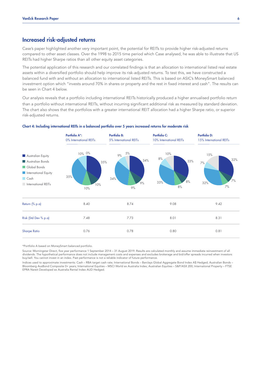### Increased risk-adjusted returns

Case's paper highlighted another very important point, the potential for REITs to provide higher risk-adjusted returns compared to other asset classes. Over the 1998 to 2015 time period which Case analysed, he was able to illustrate that US 0.36 REITs had higher Sharpe ratios than all other equity asset categories.

The potential application of this research and our correlated findings is that an allocation to international listed real estate assets within a diversified portfolio should help improve its risk-adjusted returns. To test this, we have constructed a balanced fund with and without an allocation to international listed REITs. This is based on ASIC's MoneySmart balanced investment option which "invests around 70% in shares or property and the rest in fixed interest and cash". The results can be seen in Chart 4 below.

Our analysis reveals that a portfolio including international REITs historically produced a higher annualised portfolio return than a portfolio without international REITs, without incurring significant additional risk as measured by standard deviation. The chart also shows that the portfolios with a greater international REIT allocation had a higher Sharpe ratio, or superior risk-adjusted returns.



#### Chart 4: Including international REITs in a balanced portfolio over 5 years increased returns for moderate risk

\*Portfolio A based on MoneySmart balanced portfolio.

Source: Morningstar Direct, five year performance 1 September 2014 – 31 August 2019. Results are calculated monthly and assume immediate reinvestment of all dividends. The hypothetical performance does not include management costs and expenses and excludes brokerage and bid/offer spreads incurred when investors buy/sell. You cannot invest in an index. Past performance is not a reliable indicator of future performance.

Indices used to approximate investments: Cash – RBA target cash rate; International Bonds – Barclays Global Aggregate Bond Index A\$ Hedged; Australian Bonds – Bloomberg AusBond Composite 0+ years; International Equities – MSCI World ex Australia Index; Australian Equities – S&P/ASX 200; International Property – FTSE EPRA Nareit Developed ex Australia Rental Index AUD Hedged.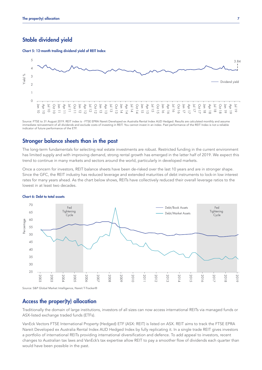## Stable dividend yield

The proper(ty) allocation<br> **Chart 5: 12-month trailing dividend yield of REIT Index**<br>
2003 Chart 5: 12-month trailing dividend yield of REIT Index



Source: FTSE to 31 August 2019. REIT index is - FTSE EPRA Nareit Developed ex Australia Rental Index AUD Hedged. Results are calculated monthly and assume immediate reinvestment of all dividends and exclude costs of investing in REIT. You cannot invest in an index. Past performance of the REIT Index is not a reliable indicator of future performance of the ETF.

### Stronger balance sheets than in the past

The long-term fundamentals for selecting real estate investments are robust. Restricted funding in the current environment has limited supply and with improving demand, strong rental growth has emerged in the latter half of 2019. We expect this trend to continue in many markets and sectors around the world, particularly in developed markets.

Once a concern for investors, REIT balance sheets have been de-risked over the last 10 years and are in stronger shape. Since the GFC, the REIT industry has reduced leverage and extended maturities of debt instruments to lock-in low interest rates for many years ahead. As the chart below shows, REITs have collectively reduced their overall leverage ratios to the lowest in at least two decades.



#### Chart 6: Debt to total assets

Source: S&P Global Market Intelligence, Nareit T-Tracker®

## Access the proper(ty) allocation

Traditionally the domain of large institutions, investors of all sizes can now access international REITs via managed funds or ASX-listed exchange traded funds (ETFs).

VanEck Vectors FTSE International Property (Hedged) ETF (ASX: REIT) is listed on ASX. REIT aims to track the FTSE EPRA Nareit Developed ex Australia Rental Index AUD Hedged Index by fully replicating it. In a single trade REIT gives investors a portfolio of international REITs providing international diversification and defence. To add appeal to investors, recent changes to Australian tax laws and VanEck's tax expertise allow REIT to pay a smoother flow of dividends each quarter than would have been possible in the past.